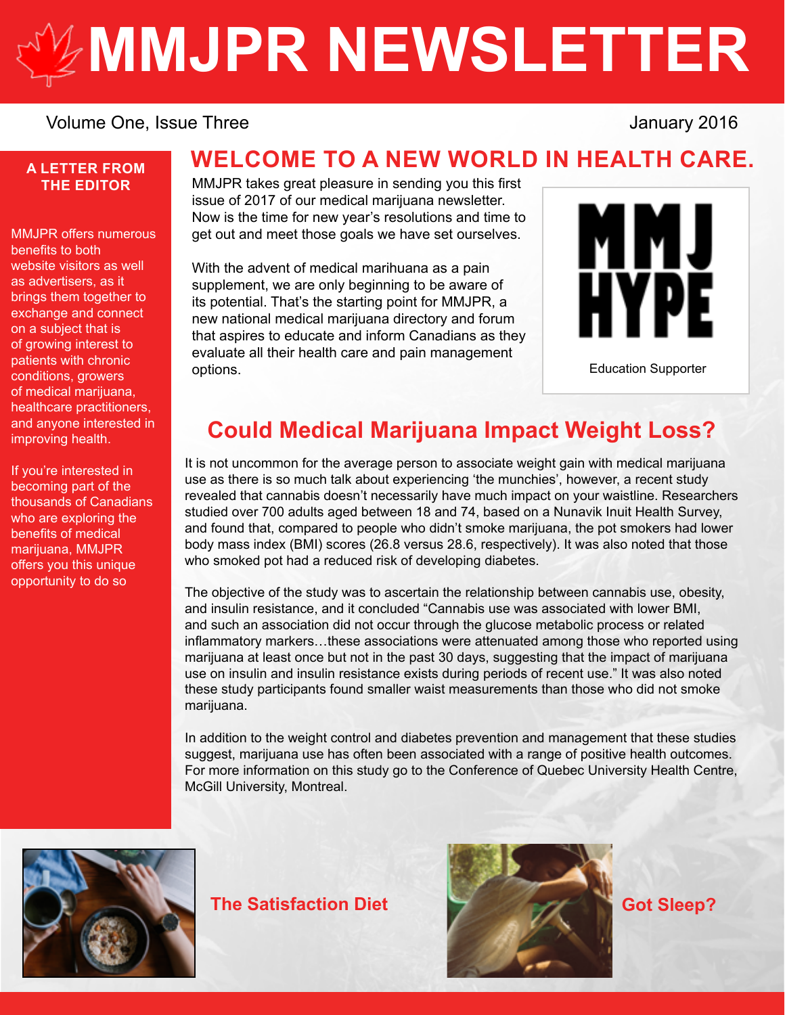# **[MMJPR NEWSLETTER](http://mmjpr.ca)**

#### Volume One, Issue Three Volume 2016

#### **A LETTER FROM THE EDITOR**

MMJPR offers numerous benefits to both website visitors as well as advertisers, as it brings them together to exchange and connect on a subject that is of growing interest to patients with chronic conditions, growers of medical marijuana, healthcare practitioners, and anyone interested in improving health.

If you're interested in becoming part of the thousands of Canadians who are exploring the benefits of medical marijuana, MMJPR offers you this unique opportunity to do so

## **WELCOME TO A NEW WORLD IN HEALTH CARE.**

MMJPR takes great pleasure in sending you this first issue of 2017 of our medical marijuana newsletter. Now is the time for new year's resolutions and time to get out and meet those goals we have set ourselves.

With the advent of medical marihuana as a pain supplement, we are only beginning to be aware of its potential. That's the starting point for MMJPR, a new national medical marijuana directory and forum that aspires to educate and inform Canadians as they evaluate all their health care and pain management options.



[Education Supporter](http://mmjhype.ca/)

## **Could Medical Marijuana Impact Weight Loss?**

It is not uncommon for the average person to associate weight gain with medical marijuana use as there is so much talk about experiencing 'the munchies', however, a recent study revealed that cannabis doesn't necessarily have much impact on your waistline. Researchers studied over 700 adults aged between 18 and 74, based on a Nunavik Inuit Health Survey, and found that, compared to people who didn't smoke marijuana, the pot smokers had lower body mass index (BMI) scores (26.8 versus 28.6, respectively). It was also noted that those who smoked pot had a reduced risk of developing diabetes.

The objective of the study was to ascertain the relationship between cannabis use, obesity, and insulin resistance, and it concluded "Cannabis use was associated with lower BMI, and such an association did not occur through the glucose metabolic process or related inflammatory markers…these associations were attenuated among those who reported using marijuana at least once but not in the past 30 days, suggesting that the impact of marijuana use on insulin and insulin resistance exists during periods of recent use." It was also noted these study participants found smaller waist measurements than those who did not smoke marijuana.

In addition to the weight control and diabetes prevention and management that these studies suggest, marijuana use has often been associated with a range of positive health outcomes. For more information on this study go to the Conference of Quebec University Health Centre, McGill University, Montreal.



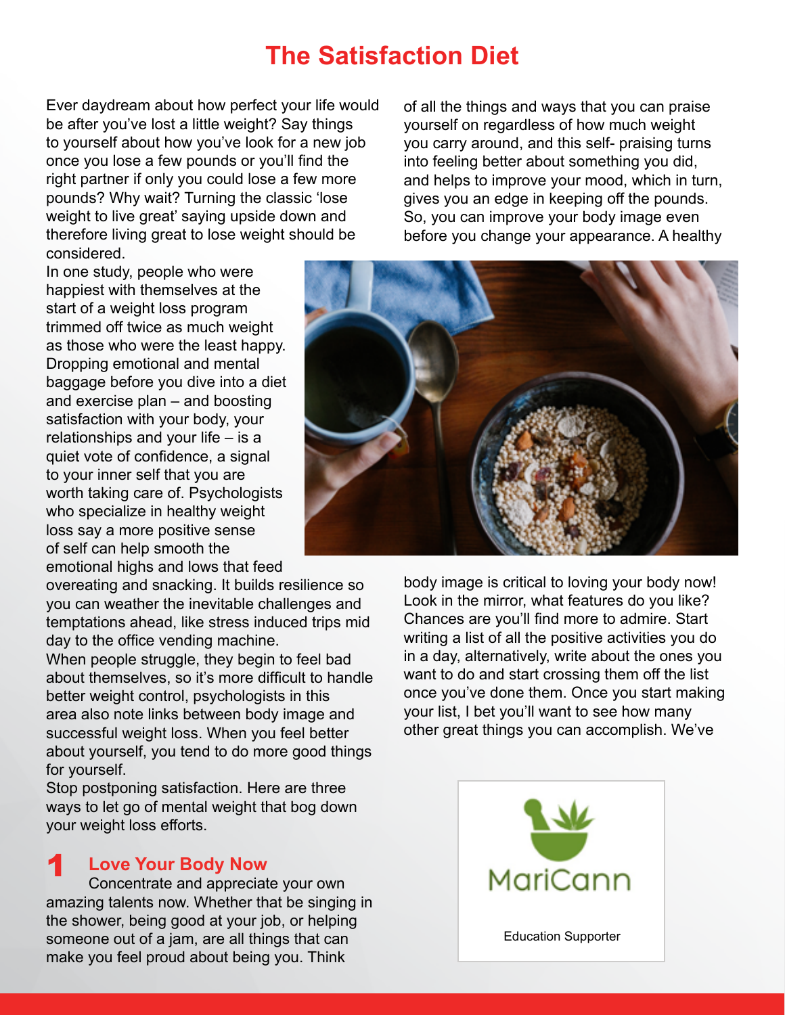## **The Satisfaction Diet**

Ever daydream about how perfect your life would be after you've lost a little weight? Say things to yourself about how you've look for a new job once you lose a few pounds or you'll find the right partner if only you could lose a few more pounds? Why wait? Turning the classic 'lose weight to live great' saying upside down and therefore living great to lose weight should be considered.

In one study, people who were happiest with themselves at the start of a weight loss program trimmed off twice as much weight as those who were the least happy. Dropping emotional and mental baggage before you dive into a diet and exercise plan – and boosting satisfaction with your body, your relationships and your life – is a quiet vote of confidence, a signal to your inner self that you are worth taking care of. Psychologists who specialize in healthy weight loss say a more positive sense of self can help smooth the emotional highs and lows that feed

overeating and snacking. It builds resilience so you can weather the inevitable challenges and temptations ahead, like stress induced trips mid day to the office vending machine.

When people struggle, they begin to feel bad about themselves, so it's more difficult to handle better weight control, psychologists in this area also note links between body image and successful weight loss. When you feel better about yourself, you tend to do more good things for yourself.

Stop postponing satisfaction. Here are three ways to let go of mental weight that bog down your weight loss efforts.

#### **Love Your Body Now** 1

Concentrate and appreciate your own amazing talents now. Whether that be singing in the shower, being good at your job, or helping someone out of a jam, are all things that can make you feel proud about being you. Think

of all the things and ways that you can praise yourself on regardless of how much weight you carry around, and this self- praising turns into feeling better about something you did, and helps to improve your mood, which in turn, gives you an edge in keeping off the pounds. So, you can improve your body image even before you change your appearance. A healthy



body image is critical to loving your body now! Look in the mirror, what features do you like? Chances are you'll find more to admire. Start writing a list of all the positive activities you do in a day, alternatively, write about the ones you want to do and start crossing them off the list once you've done them. Once you start making your list, I bet you'll want to see how many other great things you can accomplish. We've

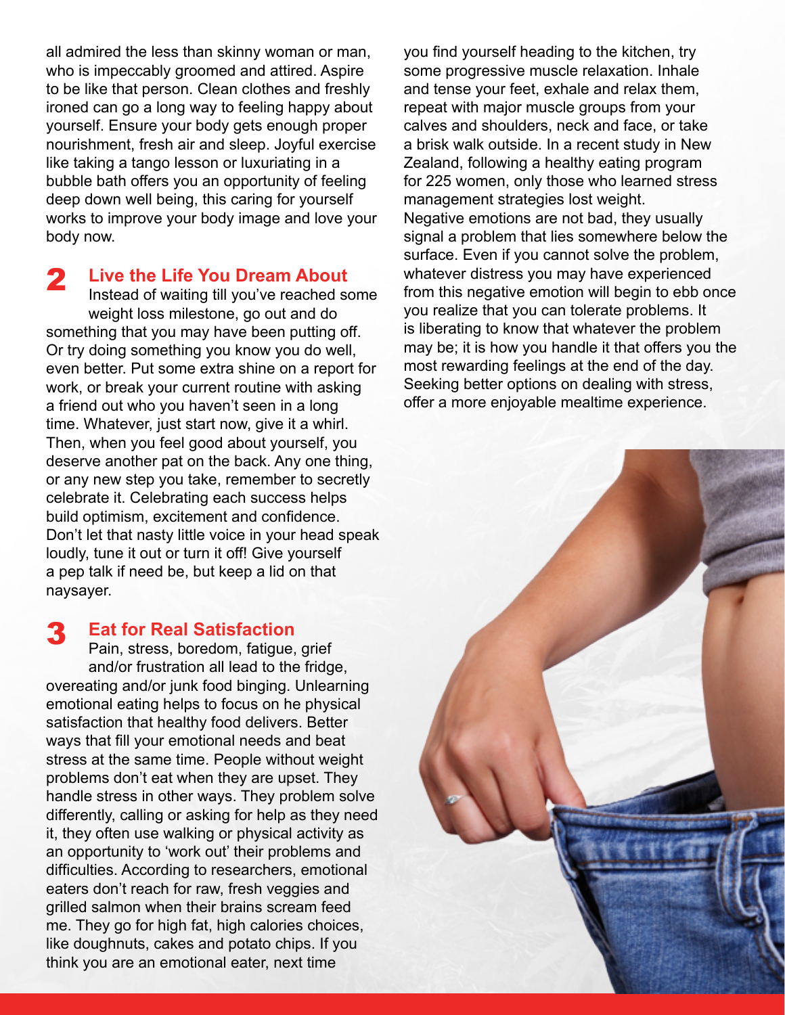all admired the less than skinny woman or man, who is impeccably groomed and attired. Aspire to be like that person. Clean clothes and freshly ironed can go a long way to feeling happy about yourself. Ensure your body gets enough proper nourishment, fresh air and sleep. Joyful exercise like taking a tango lesson or luxuriating in a bubble bath offers you an opportunity of feeling deep down well being, this caring for yourself works to improve your body image and love your body now.

**Live the Life You Dream About** 2

Instead of waiting till you've reached some weight loss milestone, go out and do something that you may have been putting off. Or try doing something you know you do well, even better. Put some extra shine on a report for work, or break your current routine with asking a friend out who you haven't seen in a long time. Whatever, just start now, give it a whirl. Then, when you feel good about yourself, you deserve another pat on the back. Any one thing, or any new step you take, remember to secretly celebrate it. Celebrating each success helps build optimism, excitement and confidence. Don't let that nasty little voice in your head speak loudly, tune it out or turn it off! Give yourself a pep talk if need be, but keep a lid on that naysayer.

#### **Eat for Real Satisfaction** 3

Pain, stress, boredom, fatigue, grief and/or frustration all lead to the fridge, overeating and/or junk food binging. Unlearning emotional eating helps to focus on he physical satisfaction that healthy food delivers. Better ways that fill your emotional needs and beat stress at the same time. People without weight problems don't eat when they are upset. They handle stress in other ways. They problem solve differently, calling or asking for help as they need it, they often use walking or physical activity as an opportunity to 'work out' their problems and difficulties. According to researchers, emotional eaters don't reach for raw, fresh veggies and grilled salmon when their brains scream feed me. They go for high fat, high calories choices, like doughnuts, cakes and potato chips. If you think you are an emotional eater, next time

you find yourself heading to the kitchen, try some progressive muscle relaxation. Inhale and tense your feet, exhale and relax them, repeat with major muscle groups from your calves and shoulders, neck and face, or take a brisk walk outside. In a recent study in New Zealand, following a healthy eating program for 225 women, only those who learned stress management strategies lost weight. Negative emotions are not bad, they usually signal a problem that lies somewhere below the surface. Even if you cannot solve the problem, whatever distress you may have experienced from this negative emotion will begin to ebb once you realize that you can tolerate problems. It is liberating to know that whatever the problem may be; it is how you handle it that offers you the most rewarding feelings at the end of the day. Seeking better options on dealing with stress, offer a more enjoyable mealtime experience.

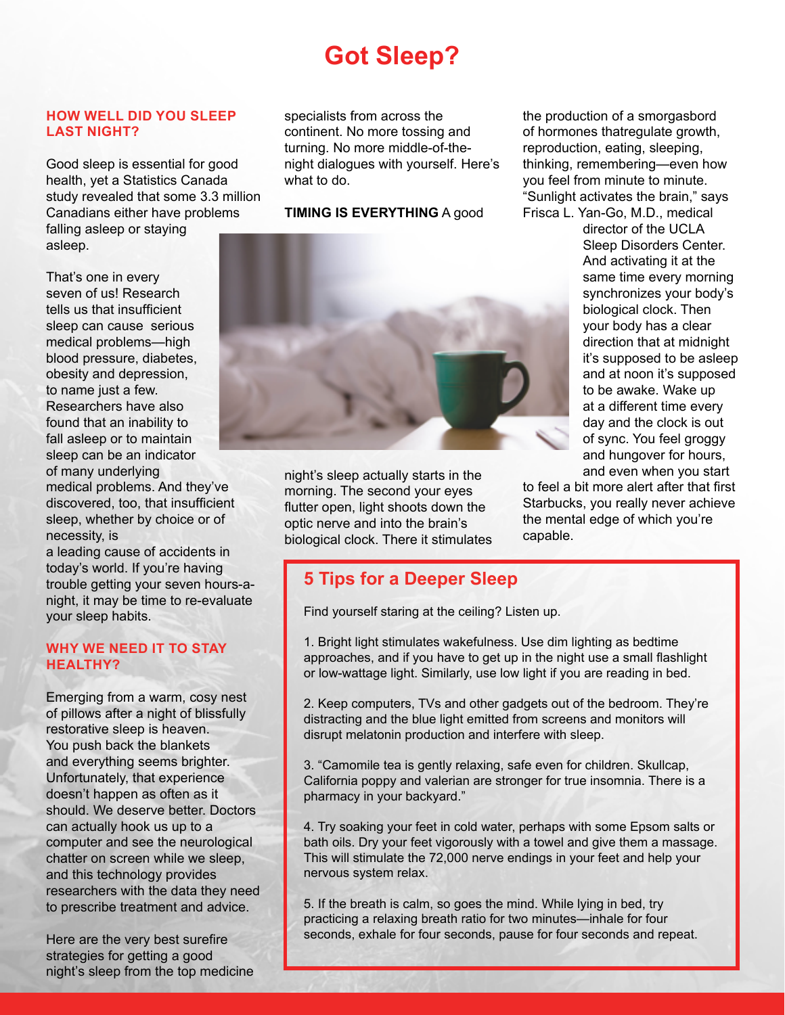## **Got Sleep?**

#### **HOW WELL DID YOU SLEEP LAST NIGHT?**

Good sleep is essential for good health, yet a Statistics Canada study revealed that some 3.3 million Canadians either have problems falling asleep or staying asleep.

That's one in every seven of us! Research tells us that insufficient sleep can cause serious medical problems—high blood pressure, diabetes, obesity and depression, to name just a few. Researchers have also found that an inability to fall asleep or to maintain sleep can be an indicator of many underlying

medical problems. And they've discovered, too, that insufficient sleep, whether by choice or of necessity, is

a leading cause of accidents in today's world. If you're having trouble getting your seven hours-anight, it may be time to re-evaluate your sleep habits.

#### **WHY WE NEED IT TO STAY HEALTHY?**

Emerging from a warm, cosy nest of pillows after a night of blissfully restorative sleep is heaven. You push back the blankets and everything seems brighter. Unfortunately, that experience doesn't happen as often as it should. We deserve better. Doctors can actually hook us up to a computer and see the neurological chatter on screen while we sleep, and this technology provides researchers with the data they need to prescribe treatment and advice.

Here are the very best surefire strategies for getting a good night's sleep from the top medicine

specialists from across the continent. No more tossing and turning. No more middle-of-thenight dialogues with yourself. Here's what to do.

**TIMING IS EVERYTHING** A good



night's sleep actually starts in the morning. The second your eyes flutter open, light shoots down the optic nerve and into the brain's biological clock. There it stimulates the production of a smorgasbord of hormones thatregulate growth, reproduction, eating, sleeping, thinking, remembering—even how you feel from minute to minute. "Sunlight activates the brain," says Frisca L. Yan-Go, M.D., medical

director of the UCLA Sleep Disorders Center. And activating it at the same time every morning synchronizes your body's biological clock. Then your body has a clear direction that at midnight it's supposed to be asleep and at noon it's supposed to be awake. Wake up at a different time every day and the clock is out of sync. You feel groggy and hungover for hours, and even when you start

to feel a bit more alert after that first Starbucks, you really never achieve the mental edge of which you're capable.

### **5 Tips for a Deeper Sleep**

Find yourself staring at the ceiling? Listen up.

1. Bright light stimulates wakefulness. Use dim lighting as bedtime approaches, and if you have to get up in the night use a small flashlight or low-wattage light. Similarly, use low light if you are reading in bed.

2. Keep computers, TVs and other gadgets out of the bedroom. They're distracting and the blue light emitted from screens and monitors will disrupt melatonin production and interfere with sleep.

3. "Camomile tea is gently relaxing, safe even for children. Skullcap, California poppy and valerian are stronger for true insomnia. There is a pharmacy in your backyard."

4. Try soaking your feet in cold water, perhaps with some Epsom salts or bath oils. Dry your feet vigorously with a towel and give them a massage. This will stimulate the 72,000 nerve endings in your feet and help your nervous system relax.

5. If the breath is calm, so goes the mind. While lying in bed, try practicing a relaxing breath ratio for two minutes—inhale for four seconds, exhale for four seconds, pause for four seconds and repeat.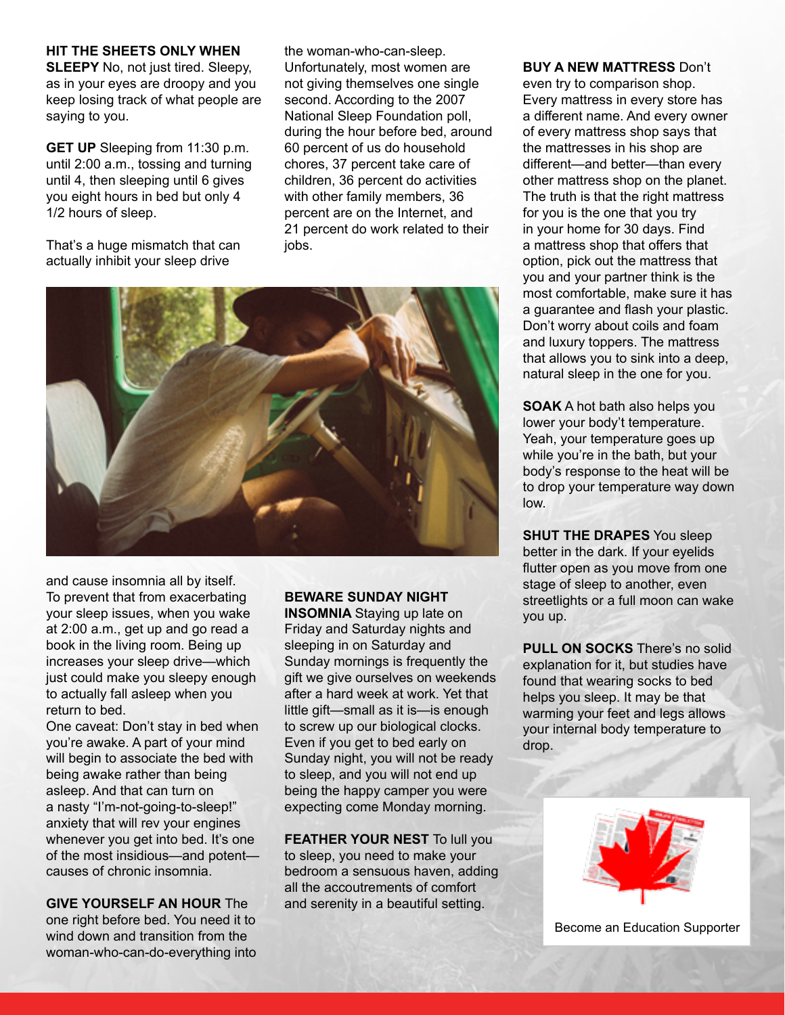#### **HIT THE SHEETS ONLY WHEN**

**SLEEPY** No, not just tired. Sleepy, as in your eyes are droopy and you keep losing track of what people are saying to you.

**GET UP** Sleeping from 11:30 p.m. until 2:00 a.m., tossing and turning until 4, then sleeping until 6 gives you eight hours in bed but only 4 1/2 hours of sleep.

That's a huge mismatch that can actually inhibit your sleep drive

the woman-who-can-sleep. Unfortunately, most women are not giving themselves one single second. According to the 2007 National Sleep Foundation poll, during the hour before bed, around 60 percent of us do household chores, 37 percent take care of children, 36 percent do activities with other family members, 36 percent are on the Internet, and 21 percent do work related to their jobs.



and cause insomnia all by itself. To prevent that from exacerbating your sleep issues, when you wake at 2:00 a.m., get up and go read a book in the living room. Being up increases your sleep drive—which just could make you sleepy enough to actually fall asleep when you return to bed.

One caveat: Don't stay in bed when you're awake. A part of your mind will begin to associate the bed with being awake rather than being asleep. And that can turn on a nasty "I'm-not-going-to-sleep!" anxiety that will rev your engines whenever you get into bed. It's one of the most insidious—and potent causes of chronic insomnia.

**GIVE YOURSELF AN HOUR** The one right before bed. You need it to wind down and transition from the woman-who-can-do-everything into

#### **BEWARE SUNDAY NIGHT**

**INSOMNIA** Staying up late on Friday and Saturday nights and sleeping in on Saturday and Sunday mornings is frequently the gift we give ourselves on weekends after a hard week at work. Yet that little gift—small as it is—is enough to screw up our biological clocks. Even if you get to bed early on Sunday night, you will not be ready to sleep, and you will not end up being the happy camper you were expecting come Monday morning.

**FEATHER YOUR NEST To lull you** to sleep, you need to make your bedroom a sensuous haven, adding all the accoutrements of comfort and serenity in a beautiful setting.

#### **BUY A NEW MATTRESS** Don't

even try to comparison shop. Every mattress in every store has a different name. And every owner of every mattress shop says that the mattresses in his shop are different—and better—than every other mattress shop on the planet. The truth is that the right mattress for you is the one that you try in your home for 30 days. Find a mattress shop that offers that option, pick out the mattress that you and your partner think is the most comfortable, make sure it has a guarantee and flash your plastic. Don't worry about coils and foam and luxury toppers. The mattress that allows you to sink into a deep, natural sleep in the one for you.

**SOAK** A hot bath also helps you lower your body't temperature. Yeah, your temperature goes up while you're in the bath, but your body's response to the heat will be to drop your temperature way down low.

**SHUT THE DRAPES** You sleep better in the dark. If your eyelids flutter open as you move from one stage of sleep to another, even streetlights or a full moon can wake you up.

**PULL ON SOCKS** There's no solid explanation for it, but studies have found that wearing socks to bed helps you sleep. It may be that warming your feet and legs allows your internal body temperature to drop.



Become an Education Supporter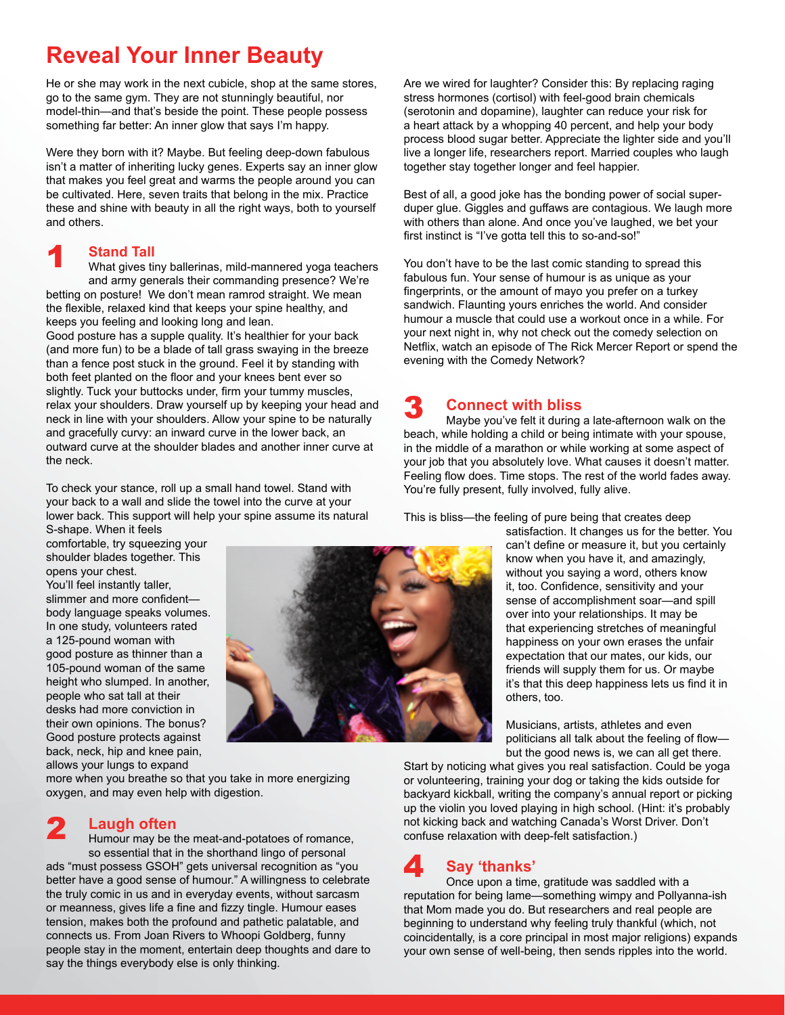## **Reveal Your Inner Beauty**

He or she may work in the next cubicle, shop at the same stores, go to the same gym. They are not stunningly beautiful, nor model-thin—and that's beside the point. These people possess something far better: An inner glow that says I'm happy.

Were they born with it? Maybe. But feeling deep-down fabulous isn't a matter of inheriting lucky genes. Experts say an inner glow that makes you feel great and warms the people around you can be cultivated. Here, seven traits that belong in the mix. Practice these and shine with beauty in all the right ways, both to yourself and others.

#### **Stand Tall** 1

What gives tiny ballerinas, mild-mannered yoga teachers and army generals their commanding presence? We're betting on posture! We don't mean ramrod straight. We mean the flexible, relaxed kind that keeps your spine healthy, and keeps you feeling and looking long and lean.

Good posture has a supple quality. It's healthier for your back (and more fun) to be a blade of tall grass swaying in the breeze than a fence post stuck in the ground. Feel it by standing with both feet planted on the floor and your knees bent ever so slightly. Tuck your buttocks under, firm your tummy muscles, relax your shoulders. Draw yourself up by keeping your head and neck in line with your shoulders. Allow your spine to be naturally and gracefully curvy: an inward curve in the lower back, an outward curve at the shoulder blades and another inner curve at the neck.

To check your stance, roll up a small hand towel. Stand with your back to a wall and slide the towel into the curve at your lower back. This support will help your spine assume its natural

S-shape. When it feels comfortable, try squeezing your shoulder blades together. This opens your chest. You'll feel instantly taller,

slimmer and more confident body language speaks volumes. In one study, volunteers rated a 125-pound woman with good posture as thinner than a 105-pound woman of the same height who slumped. In another, people who sat tall at their desks had more conviction in their own opinions. The bonus? Good posture protects against back, neck, hip and knee pain, allows your lungs to expand



more when you breathe so that you take in more energizing oxygen, and may even help with digestion.

#### **Laugh often** 2

Humour may be the meat-and-potatoes of romance, so essential that in the shorthand lingo of personal ads "must possess GSOH" gets universal recognition as "you better have a good sense of humour." A willingness to celebrate the truly comic in us and in everyday events, without sarcasm or meanness, gives life a fine and fizzy tingle. Humour eases tension, makes both the profound and pathetic palatable, and connects us. From Joan Rivers to Whoopi Goldberg, funny people stay in the moment, entertain deep thoughts and dare to say the things everybody else is only thinking.

Are we wired for laughter? Consider this: By replacing raging stress hormones (cortisol) with feel-good brain chemicals (serotonin and dopamine), laughter can reduce your risk for a heart attack by a whopping 40 percent, and help your body process blood sugar better. Appreciate the lighter side and you'll live a longer life, researchers report. Married couples who laugh together stay together longer and feel happier.

Best of all, a good joke has the bonding power of social superduper glue. Giggles and guffaws are contagious. We laugh more with others than alone. And once you've laughed, we bet your first instinct is "I've gotta tell this to so-and-so!"

You don't have to be the last comic standing to spread this fabulous fun. Your sense of humour is as unique as your fingerprints, or the amount of mayo you prefer on a turkey sandwich. Flaunting yours enriches the world. And consider humour a muscle that could use a workout once in a while. For your next night in, why not check out the comedy selection on Netflix, watch an episode of The Rick Mercer Report or spend the evening with the Comedy Network?

#### **Connect with bliss** 3

Maybe you've felt it during a late-afternoon walk on the beach, while holding a child or being intimate with your spouse, in the middle of a marathon or while working at some aspect of your job that you absolutely love. What causes it doesn't matter. Feeling flow does. Time stops. The rest of the world fades away. You're fully present, fully involved, fully alive.

This is bliss—the feeling of pure being that creates deep

satisfaction. It changes us for the better. You can't define or measure it, but you certainly know when you have it, and amazingly, without you saying a word, others know it, too. Confidence, sensitivity and your sense of accomplishment soar—and spill over into your relationships. It may be that experiencing stretches of meaningful happiness on your own erases the unfair expectation that our mates, our kids, our friends will supply them for us. Or maybe it's that this deep happiness lets us find it in others, too.

Musicians, artists, athletes and even politicians all talk about the feeling of flow but the good news is, we can all get there.

Start by noticing what gives you real satisfaction. Could be yoga or volunteering, training your dog or taking the kids outside for backyard kickball, writing the company's annual report or picking up the violin you loved playing in high school. (Hint: it's probably not kicking back and watching Canada's Worst Driver. Don't confuse relaxation with deep-felt satisfaction.)

#### **Say 'thanks'** 4

Once upon a time, gratitude was saddled with a reputation for being lame—something wimpy and Pollyanna-ish that Mom made you do. But researchers and real people are beginning to understand why feeling truly thankful (which, not coincidentally, is a core principal in most major religions) expands your own sense of well-being, then sends ripples into the world.